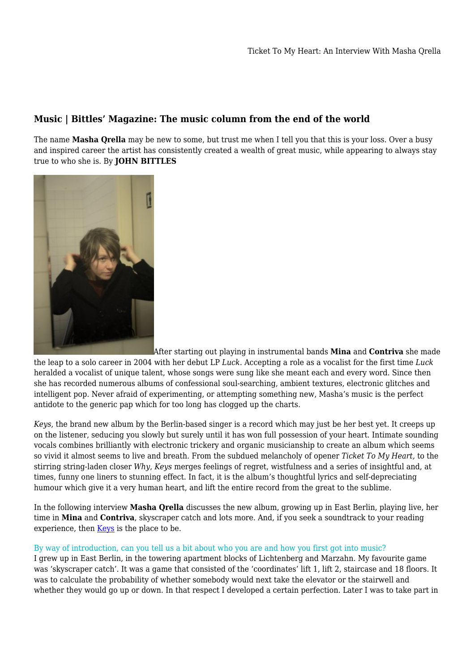# **Music | Bittles' Magazine: The music column from the end of the world**

The name **Masha Qrella** may be new to some, but trust me when I tell you that this is your loss. Over a busy and inspired career the artist has consistently created a wealth of great music, while appearing to always stay true to who she is. By **JOHN BITTLES**



[A](https://titel-kulturmagazin.net/wp-content/uploads/CRorarius_MashaQrella_6305.jpg)fter starting out playing in instrumental bands **Mina** and **Contriva** she made the leap to a solo career in 2004 with her debut LP *Luck*. Accepting a role as a vocalist for the first time *Luck* heralded a vocalist of unique talent, whose songs were sung like she meant each and every word. Since then she has recorded numerous albums of confessional soul-searching, ambient textures, electronic glitches and intelligent pop. Never afraid of experimenting, or attempting something new, Masha's music is the perfect antidote to the generic pap which for too long has clogged up the charts.

*Keys*, the brand new album by the Berlin-based singer is a record which may just be her best yet. It creeps up on the listener, seducing you slowly but surely until it has won full possession of your heart. Intimate sounding vocals combines brilliantly with electronic trickery and organic musicianship to create an album which seems so vivid it almost seems to live and breath. From the subdued melancholy of opener *Ticket To My Heart,* to the stirring string-laden closer *Why*, *Keys* merges feelings of regret, wistfulness and a series of insightful and, at times, funny one liners to stunning effect. In fact, it is the album's thoughtful lyrics and self-depreciating humour which give it a very human heart, and lift the entire record from the great to the sublime.

In the following interview **Masha Qrella** discusses the new album, growing up in East Berlin, playing live, her time in **Mina** and **Contriva**, skyscraper catch and lots more. And, if you seek a soundtrack to your reading experience, then [Keys](https://www.morrmusic.com/artist/Masha%20Qrella/release/3336) is the place to be.

# By way of introduction, can you tell us a bit about who you are and how you first got into music?

I grew up in East Berlin, in the towering apartment blocks of Lichtenberg and Marzahn. My favourite game was 'skyscraper catch'. It was a game that consisted of the 'coordinates' lift 1, lift 2, staircase and 18 floors. It was to calculate the probability of whether somebody would next take the elevator or the stairwell and whether they would go up or down. In that respect I developed a certain perfection. Later I was to take part in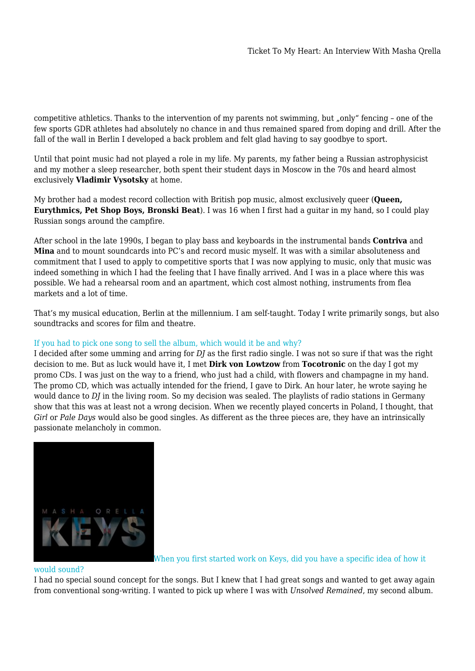competitive athletics. Thanks to the intervention of my parents not swimming, but "only" fencing – one of the few sports GDR athletes had absolutely no chance in and thus remained spared from doping and drill. After the fall of the wall in Berlin I developed a back problem and felt glad having to say goodbye to sport.

Until that point music had not played a role in my life. My parents, my father being a Russian astrophysicist and my mother a sleep researcher, both spent their student days in Moscow in the 70s and heard almost exclusively **Vladimir Vysotsky** at home.

My brother had a modest record collection with British pop music, almost exclusively queer (**Queen, Eurythmics, Pet Shop Boys, Bronski Beat**). I was 16 when I first had a guitar in my hand, so I could play Russian songs around the campfire.

After school in the late 1990s, I began to play bass and keyboards in the instrumental bands **Contriva** and **Mina** and to mount soundcards into PC's and record music myself. It was with a similar absoluteness and commitment that I used to apply to competitive sports that I was now applying to music, only that music was indeed something in which I had the feeling that I have finally arrived. And I was in a place where this was possible. We had a rehearsal room and an apartment, which cost almost nothing, instruments from flea markets and a lot of time.

That's my musical education, Berlin at the millennium. I am self-taught. Today I write primarily songs, but also soundtracks and scores for film and theatre.

# If you had to pick one song to sell the album, which would it be and why?

I decided after some umming and arring for *DJ* as the first radio single. I was not so sure if that was the right decision to me. But as luck would have it, I met **Dirk von Lowtzow** from **Tocotronic** on the day I got my promo CDs. I was just on the way to a friend, who just had a child, with flowers and champagne in my hand. The promo CD, which was actually intended for the friend, I gave to Dirk. An hour later, he wrote saying he would dance to *DJ* in the living room. So my decision was sealed. The playlists of radio stations in Germany show that this was at least not a wrong decision. When we recently played concerts in Poland, I thought, that *Girl* or *Pale Days* would also be good singles. As different as the three pieces are, they have an intrinsically passionate melancholy in common.



When you first started work on Keys, did you have a specific idea of how it

## would sound?

I had no special sound concept for the songs. But I knew that I had great songs and wanted to get away again from conventional song-writing. I wanted to pick up where I was with *Unsolved Remained*, my second album.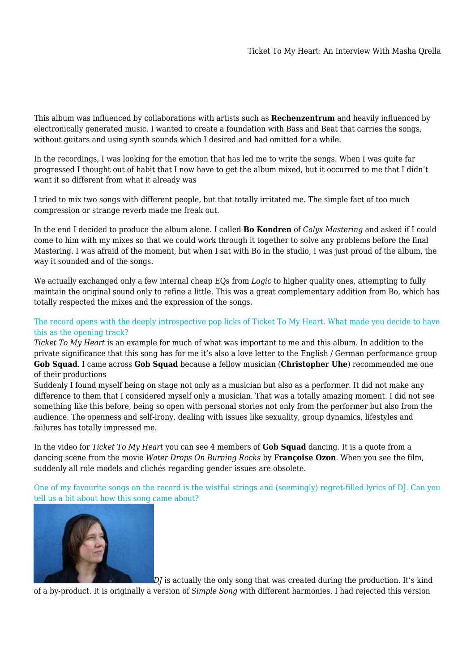This album was influenced by collaborations with artists such as **Rechenzentrum** and heavily influenced by electronically generated music. I wanted to create a foundation with Bass and Beat that carries the songs, without guitars and using synth sounds which I desired and had omitted for a while.

In the recordings, I was looking for the emotion that has led me to write the songs. When I was quite far progressed I thought out of habit that I now have to get the album mixed, but it occurred to me that I didn't want it so different from what it already was

I tried to mix two songs with different people, but that totally irritated me. The simple fact of too much compression or strange reverb made me freak out.

In the end I decided to produce the album alone. I called **Bo Kondren** of *Calyx Mastering* and asked if I could come to him with my mixes so that we could work through it together to solve any problems before the final Mastering. I was afraid of the moment, but when I sat with Bo in the studio, I was just proud of the album, the way it sounded and of the songs.

We actually exchanged only a few internal cheap EQs from *Logic* to higher quality ones, attempting to fully maintain the original sound only to refine a little. This was a great complementary addition from Bo, which has totally respected the mixes and the expression of the songs.

# The record opens with the deeply introspective pop licks of Ticket To My Heart. What made you decide to have this as the opening track?

*Ticket To My Heart* is an example for much of what was important to me and this album. In addition to the private significance that this song has for me it's also a love letter to the English / German performance group **Gob Squad**. I came across **Gob Squad** because a fellow musician (**Christopher Uhe**) recommended me one of their productions

Suddenly I found myself being on stage not only as a musician but also as a performer. It did not make any difference to them that I considered myself only a musician. That was a totally amazing moment. I did not see something like this before, being so open with personal stories not only from the performer but also from the audience. The openness and self-irony, dealing with issues like sexuality, group dynamics, lifestyles and failures has totally impressed me.

In the video for *Ticket To My Heart* you can see 4 members of **Gob Squad** dancing. It is a quote from a dancing scene from the movie *Water Drops On Burning Rocks* by **Françoise Ozon**. When you see the film, suddenly all role models and clichés regarding gender issues are obsolete.

One of my favourite songs on the record is the wistful strings and (seemingly) regret-filled lyrics of DJ. Can you tell us a bit about how this song came about?



*[D](https://titel-kulturmagazin.net/wp-content/uploads/IMG_6713.jpg)J* is actually the only song that was created during the production. It's kind

of a by-product. It is originally a version of *Simple Song* with different harmonies. I had rejected this version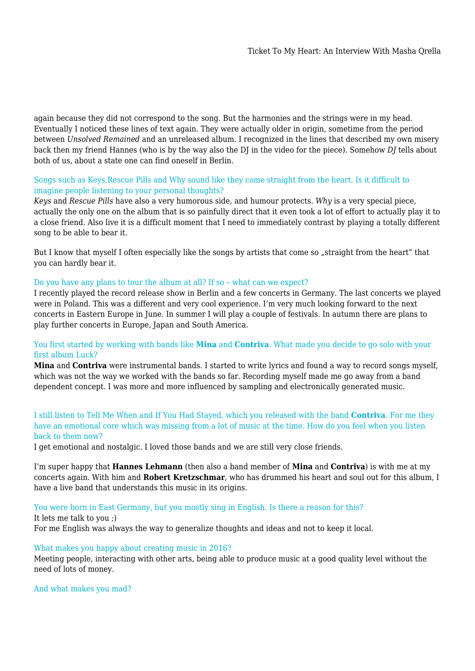again because they did not correspond to the song. But the harmonies and the strings were in my head. Eventually I noticed these lines of text again. They were actually older in origin, sometime from the period between *Unsolved Remained* and an unreleased album. I recognized in the lines that described my own misery back then my friend Hannes (who is by the way also the DJ in the video for the piece). Somehow *DJ* tells about both of us, about a state one can find oneself in Berlin.

## Songs such as Keys,Rescue Pills and Why sound like they come straight from the heart. Is it difficult to imagine people listening to your personal thoughts?

*Keys* and *Rescue Pills* have also a very humorous side, and humour protects. *Why* is a very special piece, actually the only one on the album that is so painfully direct that it even took a lot of effort to actually play it to a close friend. Also live it is a difficult moment that I need to immediately contrast by playing a totally different song to be able to bear it.

But I know that myself I often especially like the songs by artists that come so "straight from the heart" that you can hardly bear it.

## Do you have any plans to tour the album at all? If so – what can we expect?

I recently played the record release show in Berlin and a few concerts in Germany. The last concerts we played were in Poland. This was a different and very cool experience. I'm very much looking forward to the next concerts in Eastern Europe in June. In summer I will play a couple of festivals. In autumn there are plans to play further concerts in Europe, Japan and South America.

## You first started by working with bands like **Mina** and **Contriva**. What made you decide to go solo with your first album Luck?

**Mina** and **Contriva** were instrumental bands. I started to write lyrics and found a way to record songs myself, which was not the way we worked with the bands so far. Recording myself made me go away from a band dependent concept. I was more and more influenced by sampling and electronically generated music.

# I still listen to Tell Me When and If You Had Stayed, which you released with the band **Contriva**. For me they have an emotional core which was missing from a lot of music at the time. How do you feel when you listen back to them now?

I get emotional and nostalgic. I loved those bands and we are still very close friends.

I'm super happy that **Hannes Lehmann** (then also a band member of **Mina** and **Contriva**) is with me at my concerts again. With him and **Robert Kretzschmar**, who has drummed his heart and soul out for this album, I have a live band that understands this music in its origins.

## You were born in East Germany, but you mostly sing in English. Is there a reason for this?

It lets me talk to you ;) For me English was always the way to generalize thoughts and ideas and not to keep it local.

## What makes you happy about creating music in 2016?

Meeting people, interacting with other arts, being able to produce music at a good quality level without the need of lots of money.

## And what makes you mad?